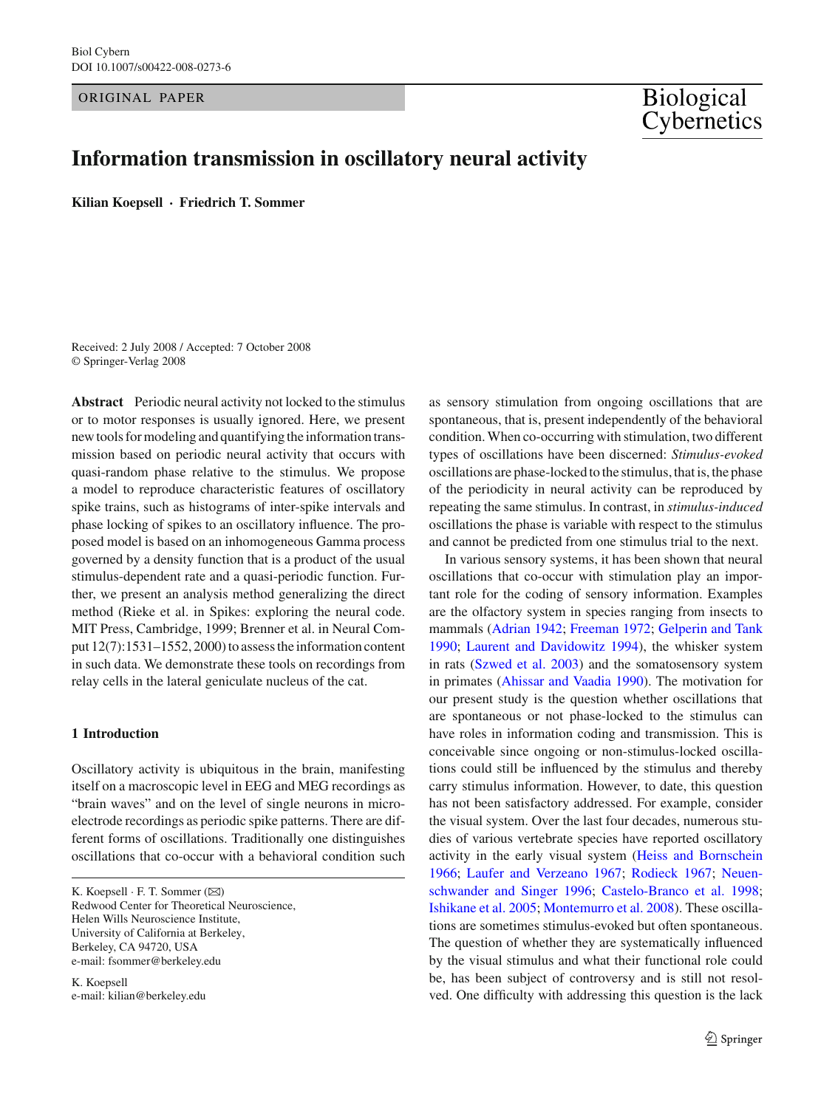ORIGINAL PAPER

# **Information transmission in oscillatory neural activity**

**Kilian Koepsell** · **Friedrich T. Sommer**

Received: 2 July 2008 / Accepted: 7 October 2008 © Springer-Verlag 2008

**Abstract** Periodic neural activity not locked to the stimulus or to motor responses is usually ignored. Here, we present newtoolsformodeling and quantifying the information transmission based on periodic neural activity that occurs with quasi-random phase relative to the stimulus. We propose a model to reproduce characteristic features of oscillatory spike trains, such as histograms of inter-spike intervals and phase locking of spikes to an oscillatory influence. The proposed model is based on an inhomogeneous Gamma process governed by a density function that is a product of the usual stimulus-dependent rate and a quasi-periodic function. Further, we present an analysis method generalizing the direct method (Rieke et al. in Spikes: exploring the neural code. MIT Press, Cambridge, 1999; Brenner et al. in Neural Comput  $12(7)$ :1531–1552, 2000) to assess the information content in such data. We demonstrate these tools on recordings from relay cells in the lateral geniculate nucleus of the cat.

## <span id="page-0-0"></span>**1 Introduction**

Oscillatory activity is ubiquitous in the brain, manifesting itself on a macroscopic level in EEG and MEG recordings as "brain waves" and on the level of single neurons in microelectrode recordings as periodic spike patterns. There are different forms of oscillations. Traditionally one distinguishes oscillations that co-occur with a behavioral condition such

K. Koepsell · F. T. Sommer ( $\boxtimes$ ) Redwood Center for Theoretical Neuroscience, Helen Wills Neuroscience Institute, University of California at Berkeley, Berkeley, CA 94720, USA e-mail: fsommer@berkeley.edu

K. Koepsell e-mail: kilian@berkeley.edu as sensory stimulation from ongoing oscillations that are spontaneous, that is, present independently of the behavioral condition.When co-occurring with stimulation, two different types of oscillations have been discerned: *Stimulus-evoked* oscillations are phase-locked to the stimulus, that is, the phase of the periodicity in neural activity can be reproduced by repeating the same stimulus. In contrast, in *stimulus-induced* oscillations the phase is variable with respect to the stimulus and cannot be predicted from one stimulus trial to the next.

Biological Cybernetics

In various sensory systems, it has been shown that neural oscillations that co-occur with stimulation play an important role for the coding of sensory information. Examples are the olfactory system in species ranging from insects to mammals [\(Adrian](#page-12-0) [1942](#page-12-0); [Freeman](#page-12-1) [1972](#page-12-1); [Gelperin](#page-13-0) and Tank [1990](#page-13-0); Laurent and [Davidowitz](#page-13-1) [1994\)](#page-13-1), the whisker system in rats [\(Szwed](#page-13-2) et al. [2003](#page-13-2)) and the somatosensory system in primates [\(Ahissar](#page-12-2) and Vaadia [1990](#page-12-2)). The motivation for our present study is the question whether oscillations that are spontaneous or not phase-locked to the stimulus can have roles in information coding and transmission. This is conceivable since ongoing or non-stimulus-locked oscillations could still be influenced by the stimulus and thereby carry stimulus information. However, to date, this question has not been satisfactory addressed. For example, consider the visual system. Over the last four decades, numerous studies of various vertebrate species have reported oscillatory activity in the early visual system (Heiss and [Bornschein](#page-13-3) [1966](#page-13-3); Laufer and [Verzeano](#page-13-4) [1967;](#page-13-4) [Rodieck](#page-13-5) [1967;](#page-13-5) Neuenschwander and Singer [1996](#page-13-6); [Castelo-Branco](#page-12-3) et al. [1998](#page-12-3); [Ishikane](#page-13-7) et al. [2005;](#page-13-7) [Montemurro](#page-13-8) et al. [2008](#page-13-8)). These oscillations are sometimes stimulus-evoked but often spontaneous. The question of whether they are systematically influenced by the visual stimulus and what their functional role could be, has been subject of controversy and is still not resolved. One difficulty with addressing this question is the lack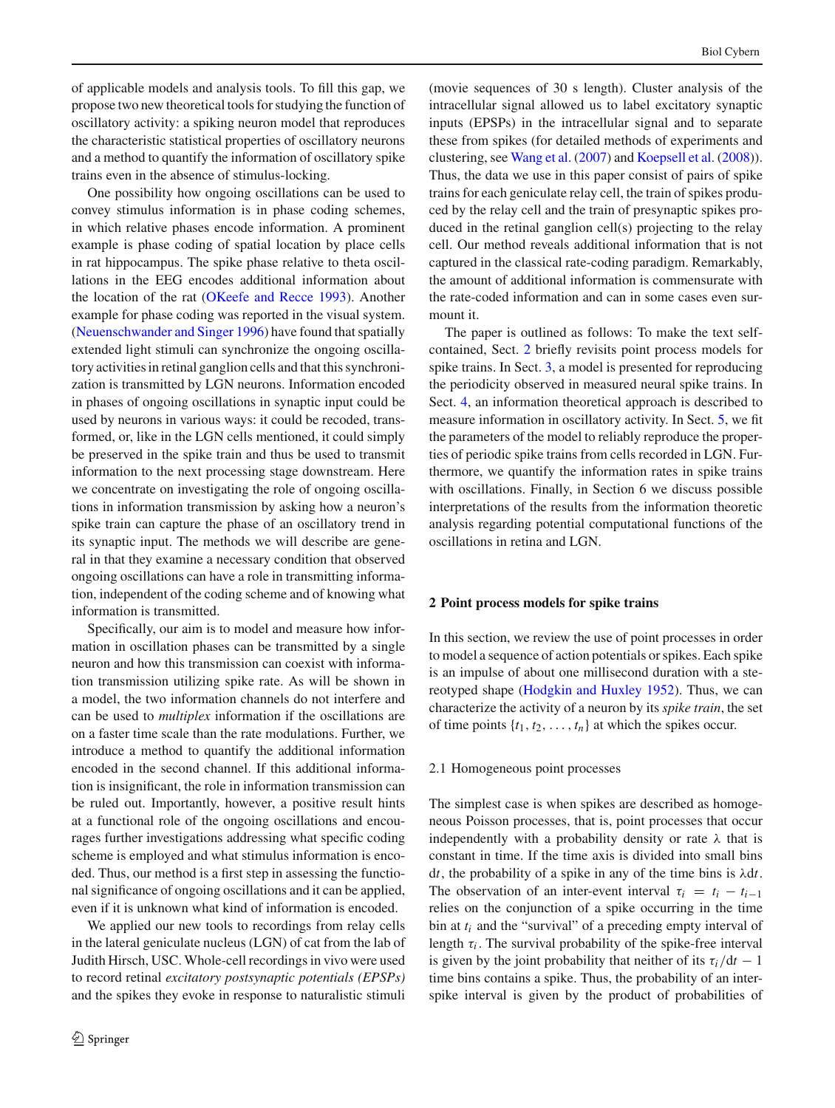of applicable models and analysis tools. To fill this gap, we propose two new theoretical tools for studying the function of oscillatory activity: a spiking neuron model that reproduces the characteristic statistical properties of oscillatory neurons and a method to quantify the information of oscillatory spike trains even in the absence of stimulus-locking.

One possibility how ongoing oscillations can be used to convey stimulus information is in phase coding schemes, in which relative phases encode information. A prominent example is phase coding of spatial location by place cells in rat hippocampus. The spike phase relative to theta oscillations in the EEG encodes additional information about the location of the rat [\(OKeefe](#page-13-9) and Recce [1993](#page-13-9)). Another example for phase coding was reported in the visual system. [\(Neuenschwander](#page-13-6) and Singer [1996](#page-13-6)) have found that spatially extended light stimuli can synchronize the ongoing oscillatory activities in retinal ganglion cells and that this synchronization is transmitted by LGN neurons. Information encoded in phases of ongoing oscillations in synaptic input could be used by neurons in various ways: it could be recoded, transformed, or, like in the LGN cells mentioned, it could simply be preserved in the spike train and thus be used to transmit information to the next processing stage downstream. Here we concentrate on investigating the role of ongoing oscillations in information transmission by asking how a neuron's spike train can capture the phase of an oscillatory trend in its synaptic input. The methods we will describe are general in that they examine a necessary condition that observed ongoing oscillations can have a role in transmitting information, independent of the coding scheme and of knowing what information is transmitted.

Specifically, our aim is to model and measure how information in oscillation phases can be transmitted by a single neuron and how this transmission can coexist with information transmission utilizing spike rate. As will be shown in a model, the two information channels do not interfere and can be used to *multiplex* information if the oscillations are on a faster time scale than the rate modulations. Further, we introduce a method to quantify the additional information encoded in the second channel. If this additional information is insignificant, the role in information transmission can be ruled out. Importantly, however, a positive result hints at a functional role of the ongoing oscillations and encourages further investigations addressing what specific coding scheme is employed and what stimulus information is encoded. Thus, our method is a first step in assessing the functional significance of ongoing oscillations and it can be applied, even if it is unknown what kind of information is encoded.

We applied our new tools to recordings from relay cells in the lateral geniculate nucleus (LGN) of cat from the lab of Judith Hirsch, USC. Whole-cell recordings in vivo were used to record retinal *excitatory postsynaptic potentials (EPSPs)* and the spikes they evoke in response to naturalistic stimuli

(movie sequences of 30 s length). Cluster analysis of the intracellular signal allowed us to label excitatory synaptic inputs (EPSPs) in the intracellular signal and to separate these from spikes (for detailed methods of experiments and clustering, see [Wang](#page-13-10) et al. [\(2007\)](#page-13-10) and [Koepsell](#page-13-11) et al. [\(2008](#page-13-11))). Thus, the data we use in this paper consist of pairs of spike trains for each geniculate relay cell, the train of spikes produced by the relay cell and the train of presynaptic spikes produced in the retinal ganglion cell(s) projecting to the relay cell. Our method reveals additional information that is not captured in the classical rate-coding paradigm. Remarkably, the amount of additional information is commensurate with the rate-coded information and can in some cases even surmount it.

The paper is outlined as follows: To make the text selfcontained, Sect. 2 briefly revisits point process models for spike trains. In Sect. [3,](#page-2-0) a model is presented for reproducing the periodicity observed in measured neural spike trains. In Sect. [4,](#page-5-0) an information theoretical approach is described to measure information in oscillatory activity. In Sect. [5,](#page-7-0) we fit the parameters of the model to reliably reproduce the properties of periodic spike trains from cells recorded in LGN. Furthermore, we quantify the information rates in spike trains with oscillations. Finally, in Section 6 we discuss possible interpretations of the results from the information theoretic analysis regarding potential computational functions of the oscillations in retina and LGN.

### **2 Point process models for spike trains**

In this section, we review the use of point processes in order to model a sequence of action potentials orspikes. Each spike is an impulse of about one millisecond duration with a stereotyped shape [\(Hodgkin](#page-13-12) and Huxley [1952](#page-13-12)). Thus, we can characterize the activity of a neuron by its *spike train*, the set of time points  $\{t_1, t_2, \ldots, t_n\}$  at which the spikes occur.

#### 2.1 Homogeneous point processes

The simplest case is when spikes are described as homogeneous Poisson processes, that is, point processes that occur independently with a probability density or rate  $\lambda$  that is constant in time. If the time axis is divided into small bins d*t*, the probability of a spike in any of the time bins is λd*t*. The observation of an inter-event interval  $\tau_i = t_i - t_{i-1}$ relies on the conjunction of a spike occurring in the time bin at *ti* and the "survival" of a preceding empty interval of length  $\tau_i$ . The survival probability of the spike-free interval is given by the joint probability that neither of its  $\tau_i/dt - 1$ time bins contains a spike. Thus, the probability of an interspike interval is given by the product of probabilities of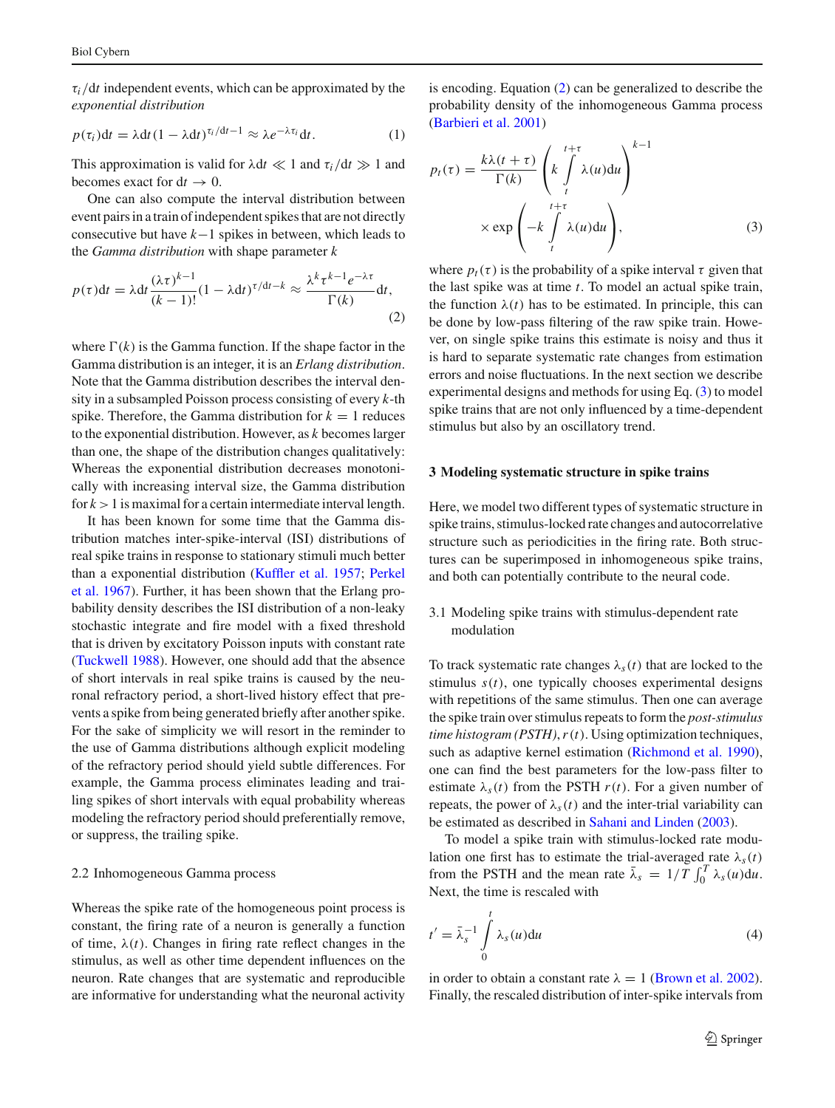$\tau_i/dt$  independent events, which can be approximated by the *exponential distribution*

$$
p(\tau_i)dt = \lambda dt (1 - \lambda dt)^{\tau_i/dt - 1} \approx \lambda e^{-\lambda \tau_i} dt.
$$
 (1)

This approximation is valid for  $\lambda dt \ll 1$  and  $\tau_i/dt \gg 1$  and becomes exact for  $dt \to 0$ .

One can also compute the interval distribution between event pairs in a train of independent spikes that are not directly consecutive but have *k*−1 spikes in between, which leads to the *Gamma distribution* with shape parameter *k*

<span id="page-2-1"></span>
$$
p(\tau)dt = \lambda dt \frac{(\lambda \tau)^{k-1}}{(k-1)!} (1 - \lambda dt)^{\tau/dt - k} \approx \frac{\lambda^k \tau^{k-1} e^{-\lambda \tau}}{\Gamma(k)} dt,
$$
\n(2)

where  $\Gamma(k)$  is the Gamma function. If the shape factor in the Gamma distribution is an integer, it is an *Erlang distribution*. Note that the Gamma distribution describes the interval density in a subsampled Poisson process consisting of every *k*-th spike. Therefore, the Gamma distribution for  $k = 1$  reduces to the exponential distribution. However, as *k* becomeslarger than one, the shape of the distribution changes qualitatively: Whereas the exponential distribution decreases monotonically with increasing interval size, the Gamma distribution for  $k > 1$  is maximal for a certain intermediate interval length.

It has been known for some time that the Gamma distribution matches inter-spike-interval (ISI) distributions of real spike trains in response to stationary stimuli much better than a [exponential](#page-13-14) distribution [\(Kuffler](#page-13-13) et al. [1957;](#page-13-13) Perkel et al. [1967](#page-13-14)). Further, it has been shown that the Erlang probability density describes the ISI distribution of a non-leaky stochastic integrate and fire model with a fixed threshold that is driven by excitatory Poisson inputs with constant rate [\(Tuckwell](#page-13-15) [1988\)](#page-13-15). However, one should add that the absence of short intervals in real spike trains is caused by the neuronal refractory period, a short-lived history effect that prevents a spike from being generated briefly after another spike. For the sake of simplicity we will resort in the reminder to the use of Gamma distributions although explicit modeling of the refractory period should yield subtle differences. For example, the Gamma process eliminates leading and trailing spikes of short intervals with equal probability whereas modeling the refractory period should preferentially remove, or suppress, the trailing spike.

#### 2.2 Inhomogeneous Gamma process

Whereas the spike rate of the homogeneous point process is constant, the firing rate of a neuron is generally a function of time,  $\lambda(t)$ . Changes in firing rate reflect changes in the stimulus, as well as other time dependent influences on the neuron. Rate changes that are systematic and reproducible are informative for understanding what the neuronal activity is encoding. Equation (2) can be generalized to describe the probability density of the inhomogeneous Gamma process [\(Barbieri](#page-12-4) et al. [2001](#page-12-4))

<span id="page-2-2"></span>
$$
p_t(\tau) = \frac{k\lambda(t+\tau)}{\Gamma(k)} \left( k \int\limits_t^{t+\tau} \lambda(u) \mathrm{d}u \right)^{k-1} \times \exp\left( -k \int\limits_t^{t+\tau} \lambda(u) \mathrm{d}u \right), \tag{3}
$$

where  $p_t(\tau)$  is the probability of a spike interval  $\tau$  given that the last spike was at time *t*. To model an actual spike train, the function  $\lambda(t)$  has to be estimated. In principle, this can be done by low-pass filtering of the raw spike train. However, on single spike trains this estimate is noisy and thus it is hard to separate systematic rate changes from estimation errors and noise fluctuations. In the next section we describe experimental designs and methods for using Eq.  $(3)$  to model spike trains that are not only influenced by a time-dependent stimulus but also by an oscillatory trend.

## <span id="page-2-0"></span>**3 Modeling systematic structure in spike trains**

Here, we model two different types of systematic structure in spike trains, stimulus-locked rate changes and autocorrelative structure such as periodicities in the firing rate. Both structures can be superimposed in inhomogeneous spike trains, and both can potentially contribute to the neural code.

<span id="page-2-3"></span>3.1 Modeling spike trains with stimulus-dependent rate modulation

To track systematic rate changes  $\lambda_s(t)$  that are locked to the stimulus  $s(t)$ , one typically chooses experimental designs with repetitions of the same stimulus. Then one can average the spike train over stimulus repeats to form the *post-stimulus time histogram (PSTH)*,*r*(*t*). Using optimization techniques, such as adaptive kernel estimation [\(Richmond](#page-13-16) et al. [1990](#page-13-16)), one can find the best parameters for the low-pass filter to estimate  $\lambda_s(t)$  from the PSTH  $r(t)$ . For a given number of repeats, the power of  $\lambda_s(t)$  and the inter-trial variability can be estimated as described in Sahani and [Linden](#page-13-17) [\(2003\)](#page-13-17).

To model a spike train with stimulus-locked rate modulation one first has to estimate the trial-averaged rate  $\lambda_s(t)$ from the PSTH and the mean rate  $\bar{\lambda}_s = 1/T \int_0^T \lambda_s(u) \, du$ . Next, the time is rescaled with

$$
t' = \bar{\lambda}_s^{-1} \int_0^t \lambda_s(u) \mathrm{d}u \tag{4}
$$

in order to obtain a constant rate  $\lambda = 1$  [\(Brown](#page-12-5) et al. [2002](#page-12-5)). Finally, the rescaled distribution of inter-spike intervals from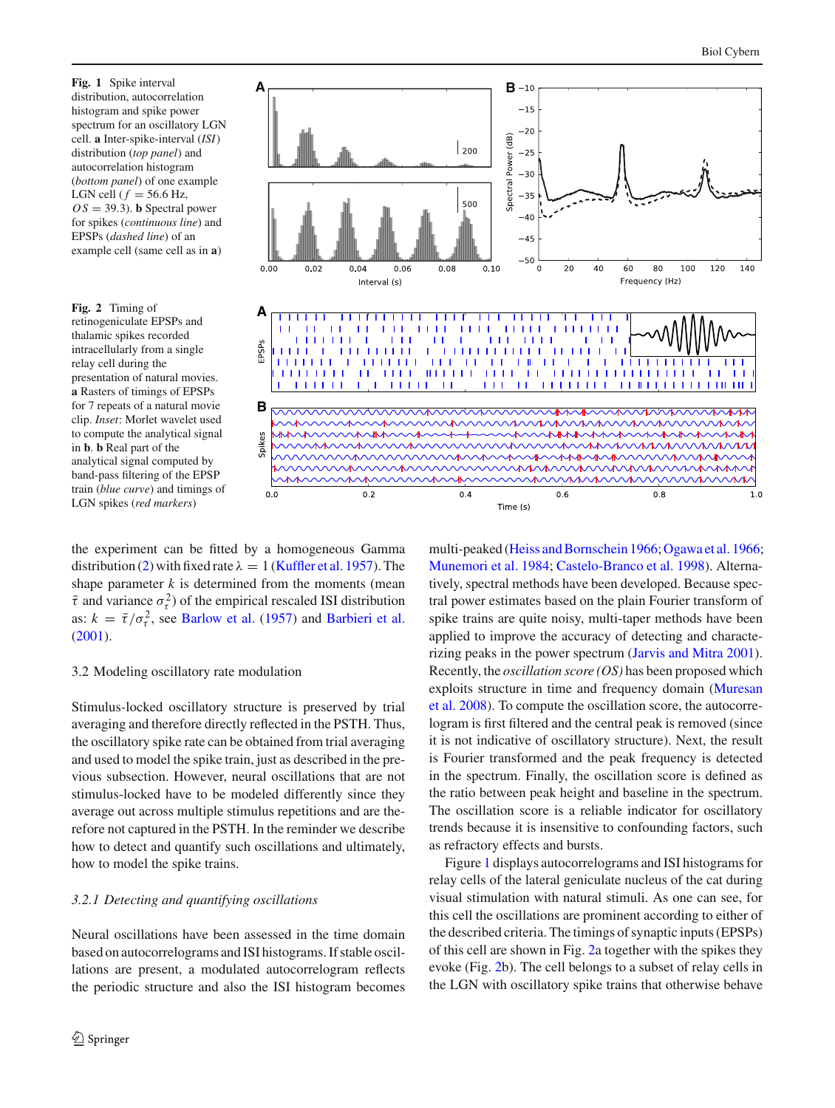<span id="page-3-2"></span>**Fig. 1** Spike interval distribution, autocorrelation histogram and spike power spectrum for an oscillatory LGN cell. **a** Inter-spike-interval (*ISI*) distribution (*top panel*) and autocorrelation histogram (*bottom panel*) of one example LGN cell ( $f = 56.6$  Hz,  $OS = 39.3$ . **b** Spectral power for spikes (*continuous line*) and EPSPs (*dashed line*) of an example cell (same cell as in **a**)

<span id="page-3-0"></span>**Fig. 2** Timing of retinogeniculate EPSPs and thalamic spikes recorded intracellularly from a single relay cell during the presentation of natural movies. **a** Rasters of timings of EPSPs for 7 repeats of a natural movie clip. *Inset*: Morlet wavelet used to compute the analytical signal in **b**. **b** Real part of the analytical signal computed by band-pass filtering of the EPSP train (*blue curve*) and timings of LGN spikes (*red markers*)



the experiment can be fitted by a homogeneous Gamma distribution [\(2\)](#page-2-1) with fixed rate  $\lambda = 1$  [\(Kuffler](#page-13-13) et al. [1957](#page-13-13)). The shape parameter  $k$  is determined from the moments (mean  $\bar{\tau}$  and variance  $\sigma_{\tau}^2$ ) of the empirical rescaled ISI distribution as:  $k = \bar{\tau}/\sigma_{\tau}^2$ , see [Barlow](#page-12-6) et al. [\(1957\)](#page-12-6) and [Barbieri](#page-12-4) et al. [\(2001](#page-12-4)).

## 3.2 Modeling oscillatory rate modulation

Stimulus-locked oscillatory structure is preserved by trial averaging and therefore directly reflected in the PSTH. Thus, the oscillatory spike rate can be obtained from trial averaging and used to model the spike train, just as described in the previous subsection. However, neural oscillations that are not stimulus-locked have to be modeled differently since they average out across multiple stimulus repetitions and are therefore not captured in the PSTH. In the reminder we describe how to detect and quantify such oscillations and ultimately, how to model the spike trains.

## <span id="page-3-1"></span>*3.2.1 Detecting and quantifying oscillations*

Neural oscillations have been assessed in the time domain based on autocorrelograms and ISI histograms. If stable oscillations are present, a modulated autocorrelogram reflects the periodic structure and also the ISI histogram becomes multi-peaked (Heiss and Bornschein [1966](#page-13-18); Ogawa et al. 1966; [Munemori](#page-13-19) et al. [1984](#page-13-19); [Castelo-Branco](#page-12-3) et al. [1998\)](#page-12-3). Alternatively, spectral methods have been developed. Because spectral power estimates based on the plain Fourier transform of spike trains are quite noisy, multi-taper methods have been applied to improve the accuracy of detecting and characterizing peaks in the power spectrum [\(Jarvis](#page-13-20) and Mitra [2001](#page-13-20)). Recently, the *oscillation score (OS)* has been proposed which exploits structure in time and [frequency](#page-13-21) domain (Muresan et al. [2008\)](#page-13-21). To compute the oscillation score, the autocorrelogram is first filtered and the central peak is removed (since it is not indicative of oscillatory structure). Next, the result is Fourier transformed and the peak frequency is detected in the spectrum. Finally, the oscillation score is defined as the ratio between peak height and baseline in the spectrum. The oscillation score is a reliable indicator for oscillatory trends because it is insensitive to confounding factors, such as refractory effects and bursts.

Figure 1 displays autocorrelograms and ISI histograms for relay cells of the lateral geniculate nucleus of the cat during visual stimulation with natural stimuli. As one can see, for this cell the oscillations are prominent according to either of the described criteria. The timings of synaptic inputs (EPSPs) of this cell are shown in Fig. 2a together with the spikes they evoke (Fig. 2b). The cell belongs to a subset of relay cells in the LGN with oscillatory spike trains that otherwise behave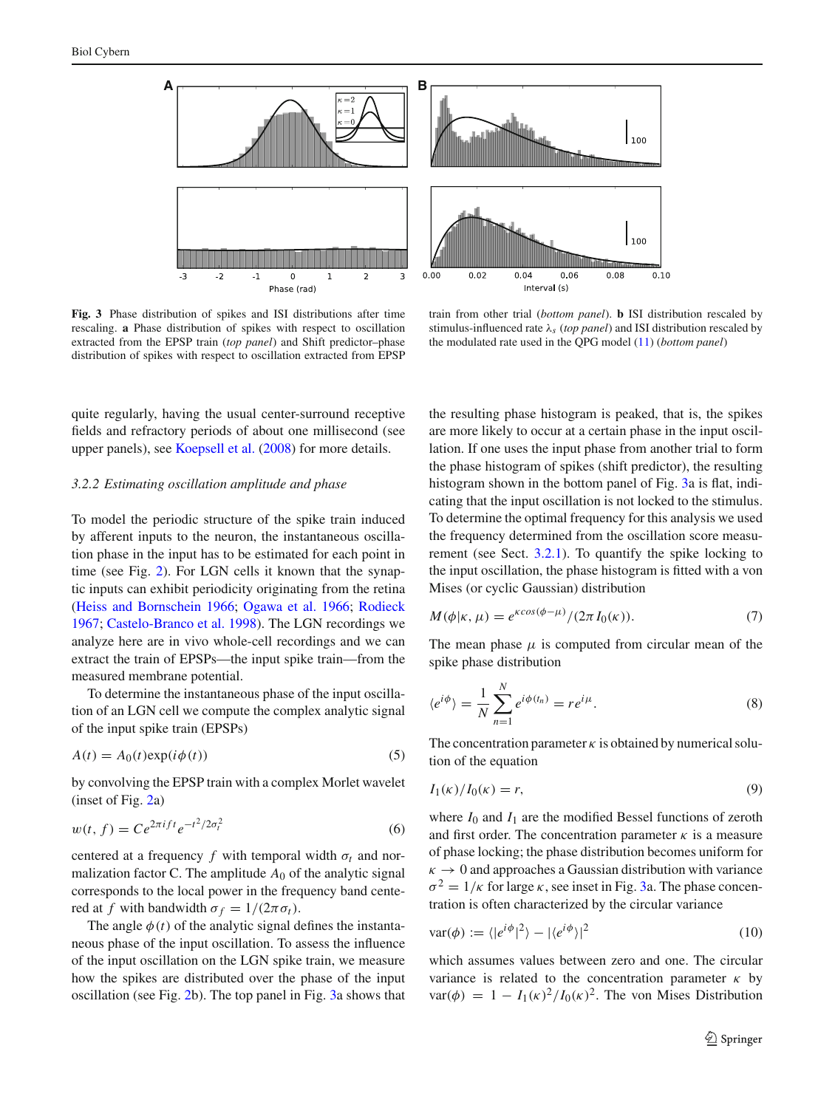

<span id="page-4-0"></span>**Fig. 3** Phase distribution of spikes and ISI distributions after time rescaling. **a** Phase distribution of spikes with respect to oscillation extracted from the EPSP train (*top panel*) and Shift predictor–phase distribution of spikes with respect to oscillation extracted from EPSP

train from other trial (*bottom panel*). **b** ISI distribution rescaled by stimulus-influenced rate λ*<sup>s</sup>* (*top panel*) and ISI distribution rescaled by the modulated rate used in the QPG model [\(11\)](#page-5-1) (*bottom panel*)

quite regularly, having the usual center-surround receptive fields and refractory periods of about one millisecond (see upper panels), see [Koepsell](#page-13-11) et al. [\(2008\)](#page-13-11) for more details.

#### <span id="page-4-1"></span>*3.2.2 Estimating oscillation amplitude and phase*

To model the periodic structure of the spike train induced by afferent inputs to the neuron, the instantaneous oscillation phase in the input has to be estimated for each point in time (see Fig. [2\)](#page-3-0). For LGN cells it known that the synaptic inputs can exhibit periodicity originating from the retina (Heiss and [Bornschein](#page-13-3) [1966](#page-13-3); [Ogawa](#page-13-18) et al. [1966](#page-13-18); [Rodieck](#page-13-5) [1967;](#page-13-5) [Castelo-Branco](#page-12-3) et al. [1998](#page-12-3)). The LGN recordings we analyze here are in vivo whole-cell recordings and we can extract the train of EPSPs—the input spike train—from the measured membrane potential.

To determine the instantaneous phase of the input oscillation of an LGN cell we compute the complex analytic signal of the input spike train (EPSPs)

$$
A(t) = A_0(t) \exp(i\phi(t))
$$
\n(5)

by convolving the EPSP train with a complex Morlet wavelet (inset of Fig. [2a](#page-3-0))

$$
w(t, f) = Ce^{2\pi i f t} e^{-t^2/2\sigma_t^2}
$$
 (6)

centered at a frequency *f* with temporal width  $\sigma_t$  and normalization factor C. The amplitude  $A_0$  of the analytic signal corresponds to the local power in the frequency band centered at *f* with bandwidth  $\sigma_f = 1/(2\pi \sigma_t)$ .

The angle  $\phi(t)$  of the analytic signal defines the instantaneous phase of the input oscillation. To assess the influence of the input oscillation on the LGN spike train, we measure how the spikes are distributed over the phase of the input oscillation (see Fig. [2b](#page-3-0)). The top panel in Fig. 3a shows that

the resulting phase histogram is peaked, that is, the spikes are more likely to occur at a certain phase in the input oscillation. If one uses the input phase from another trial to form the phase histogram of spikes (shift predictor), the resulting histogram shown in the bottom panel of Fig. 3a is flat, indicating that the input oscillation is not locked to the stimulus. To determine the optimal frequency for this analysis we used the frequency determined from the oscillation score measurement (see Sect. [3.2.1\)](#page-3-1). To quantify the spike locking to the input oscillation, the phase histogram is fitted with a von Mises (or cyclic Gaussian) distribution

$$
M(\phi|\kappa,\mu) = e^{\kappa \cos(\phi-\mu)} / (2\pi I_0(\kappa)).\tag{7}
$$

The mean phase  $\mu$  is computed from circular mean of the spike phase distribution

<span id="page-4-2"></span>
$$
\langle e^{i\phi} \rangle = \frac{1}{N} \sum_{n=1}^{N} e^{i\phi(t_n)} = r e^{i\mu}.
$$
 (8)

The concentration parameter  $\kappa$  is obtained by numerical solution of the equation

<span id="page-4-3"></span>
$$
I_1(\kappa)/I_0(\kappa) = r,\t\t(9)
$$

where  $I_0$  and  $I_1$  are the modified Bessel functions of zeroth and first order. The concentration parameter  $\kappa$  is a measure of phase locking; the phase distribution becomes uniform for  $\kappa \to 0$  and approaches a Gaussian distribution with variance  $\sigma^2 = 1/\kappa$  for large  $\kappa$ , see inset in Fig. 3a. The phase concentration is often characterized by the circular variance

<span id="page-4-4"></span>
$$
var(\phi) := \langle |e^{i\phi}|^2 \rangle - |\langle e^{i\phi} \rangle|^2 \tag{10}
$$

which assumes values between zero and one. The circular variance is related to the concentration parameter  $\kappa$  by  $var(\phi) = 1 - I_1(\kappa)^2 / I_0(\kappa)^2$ . The von Mises Distribution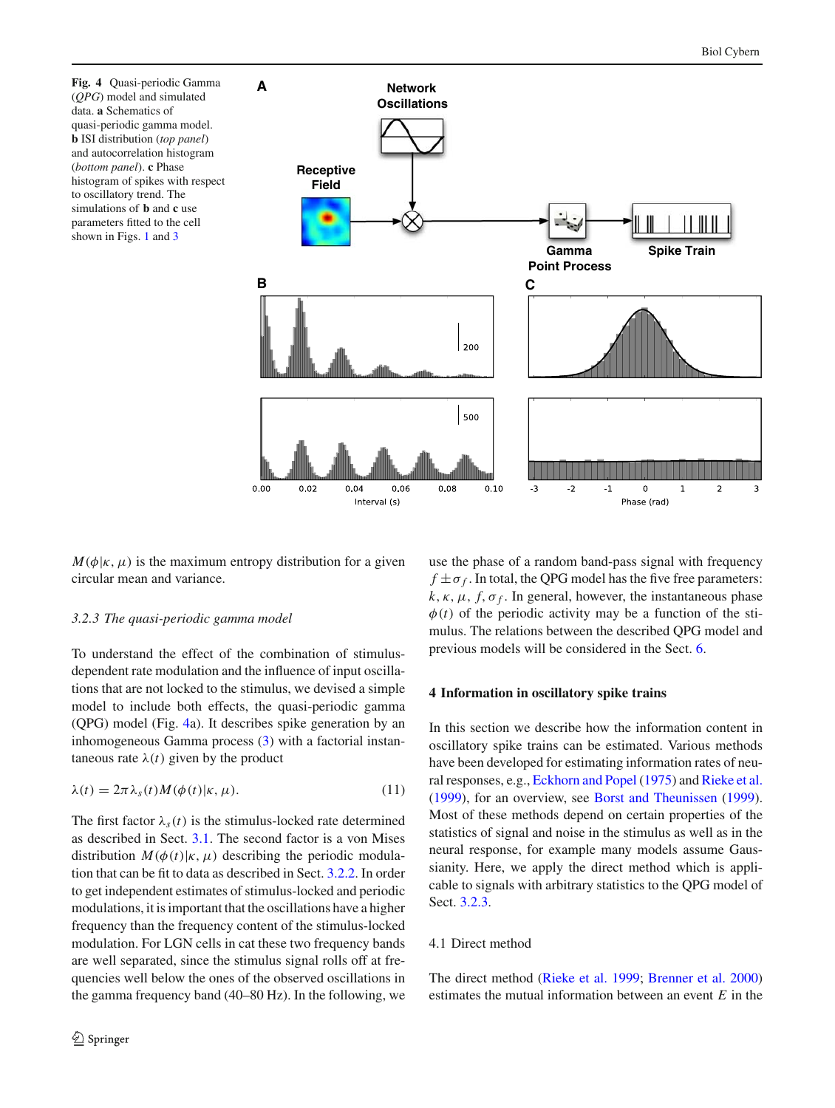<span id="page-5-2"></span>**Fig. 4** Quasi-periodic Gamma (*QPG*) model and simulated data. **a** Schematics of quasi-periodic gamma model. **b** ISI distribution (*top panel*) and autocorrelation histogram (*bottom panel*). **c** Phase histogram of spikes with respect to oscillatory trend. The simulations of **b** and **c** use parameters fitted to the cell shown in Figs. [1](#page-3-2) and [3](#page-4-0)



 $M(\phi|\kappa,\mu)$  is the maximum entropy distribution for a given circular mean and variance.

#### *3.2.3 The quasi-periodic gamma model*

To understand the effect of the combination of stimulusdependent rate modulation and the influence of input oscillations that are not locked to the stimulus, we devised a simple model to include both effects, the quasi-periodic gamma (QPG) model (Fig. 4a). It describes spike generation by an inhomogeneous Gamma process [\(3\)](#page-2-2) with a factorial instantaneous rate  $\lambda(t)$  given by the product

<span id="page-5-1"></span>
$$
\lambda(t) = 2\pi \lambda_s(t) M(\phi(t)|\kappa, \mu). \tag{11}
$$

The first factor  $\lambda_s(t)$  is the stimulus-locked rate determined as described in Sect. [3.1.](#page-2-3) The second factor is a von Mises distribution  $M(\phi(t)|\kappa,\mu)$  describing the periodic modulation that can be fit to data as described in Sect. [3.2.2.](#page-4-1) In order to get independent estimates of stimulus-locked and periodic modulations, it isimportant that the oscillations have a higher frequency than the frequency content of the stimulus-locked modulation. For LGN cells in cat these two frequency bands are well separated, since the stimulus signal rolls off at frequencies well below the ones of the observed oscillations in the gamma frequency band (40–80 Hz). In the following, we use the phase of a random band-pass signal with frequency  $f \pm \sigma_f$ . In total, the QPG model has the five free parameters:  $k, \kappa, \mu, f, \sigma_f$ . In general, however, the instantaneous phase  $\phi(t)$  of the periodic activity may be a function of the stimulus. The relations between the described QPG model and previous models will be considered in the Sect. [6.](#page-10-0)

### <span id="page-5-0"></span>**4 Information in oscillatory spike trains**

In this section we describe how the information content in oscillatory spike trains can be estimated. Various methods have been developed for estimating information rates of neural responses, e.g., [Eckhorn](#page-12-7) and Popel [\(1975](#page-12-7)) and [Rieke](#page-13-22) et al. [\(1999](#page-13-22)), for an overview, see Borst and [Theunissen](#page-12-8) [\(1999](#page-12-8)). Most of these methods depend on certain properties of the statistics of signal and noise in the stimulus as well as in the neural response, for example many models assume Gaussianity. Here, we apply the direct method which is applicable to signals with arbitrary statistics to the QPG model of Sect. 3.2.3.

### 4.1 Direct method

The direct method [\(Rieke](#page-13-22) et al. [1999;](#page-13-22) [Brenner](#page-12-9) et al. [2000\)](#page-12-9) estimates the mutual information between an event *E* in the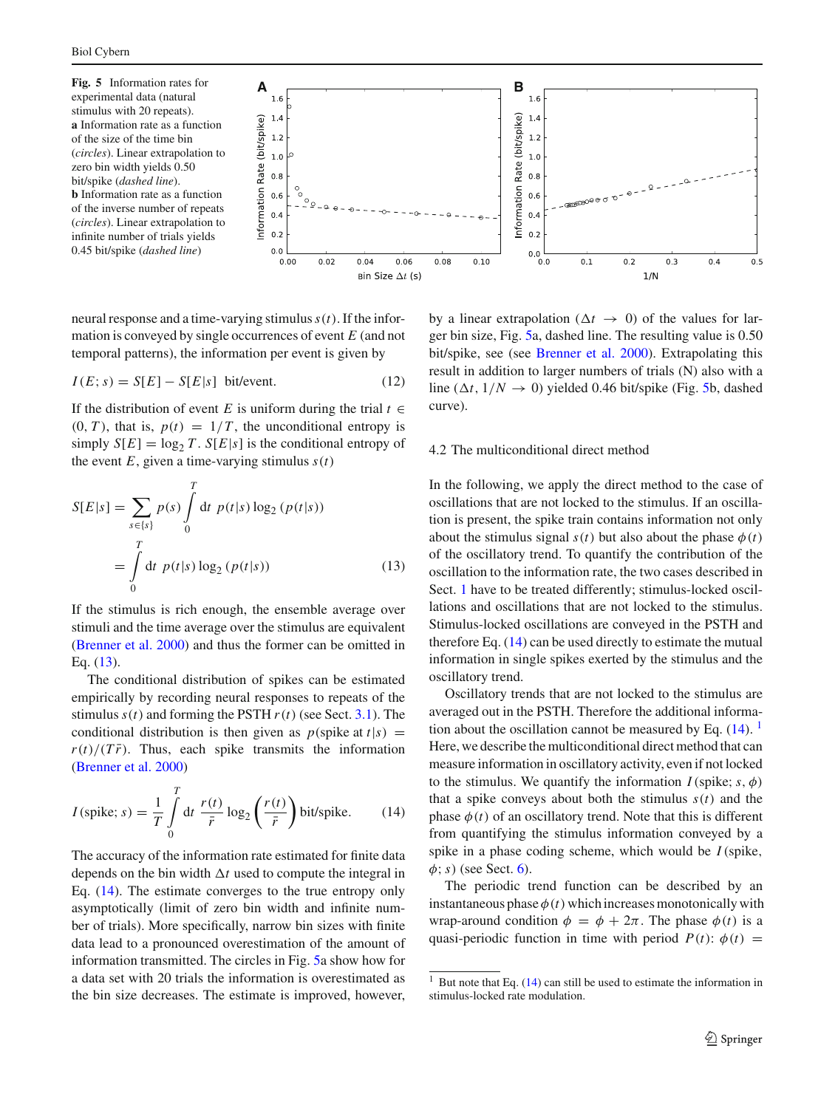<span id="page-6-3"></span>**Fig. 5** Information rates for experimental data (natural stimulus with 20 repeats). **a** Information rate as a function of the size of the time bin (*circles*). Linear extrapolation to zero bin width yields 0.50 bit/spike (*dashed line*). **b** Information rate as a function of the inverse number of repeats (*circles*). Linear extrapolation to infinite number of trials yields 0.45 bit/spike (*dashed line*)

neural response and a time-varying stimulus*s*(*t*). If the information is conveyed by single occurrences of event *E* (and not temporal patterns), the information per event is given by

<span id="page-6-1"></span>
$$
I(E; s) = S[E] - S[E|s] \text{ bit/event.}
$$
 (12)

If the distribution of event *E* is uniform during the trial  $t \in$  $(0, T)$ , that is,  $p(t) = 1/T$ , the unconditional entropy is simply  $S[E] = \log_2 T$ .  $S[E|s]$  is the conditional entropy of the event  $E$ , given a time-varying stimulus  $s(t)$ 

<span id="page-6-0"></span>
$$
S[E|s] = \sum_{s \in \{s\}} p(s) \int_{0}^{T} dt \ p(t|s) \log_2 (p(t|s))
$$
  
= 
$$
\int_{0}^{T} dt \ p(t|s) \log_2 (p(t|s))
$$
 (13)

If the stimulus is rich enough, the ensemble average over stimuli and the time average over the stimulus are equivalent [\(Brenner](#page-12-9) et al. [2000\)](#page-12-9) and thus the former can be omitted in Eq. (13).

The conditional distribution of spikes can be estimated empirically by recording neural responses to repeats of the stimulus  $s(t)$  and forming the PSTH  $r(t)$  (see Sect. [3.1\)](#page-2-3). The conditional distribution is then given as  $p$ (spike at  $t|s$ ) =  $r(t)/(T\bar{r})$ . Thus, each spike transmits the information [\(Brenner](#page-12-9) et al. [2000\)](#page-12-9)

<span id="page-6-2"></span>
$$
I(\text{spike}; s) = \frac{1}{T} \int_{0}^{T} dt \frac{r(t)}{\bar{r}} \log_2\left(\frac{r(t)}{\bar{r}}\right) \text{bit/spike.}
$$
 (14)

The accuracy of the information rate estimated for finite data depends on the bin width  $\Delta t$  used to compute the integral in Eq. (14). The estimate converges to the true entropy only asymptotically (limit of zero bin width and infinite number of trials). More specifically, narrow bin sizes with finite data lead to a pronounced overestimation of the amount of information transmitted. The circles in Fig. 5a show how for a data set with 20 trials the information is overestimated as the bin size decreases. The estimate is improved, however,

by a linear extrapolation ( $\Delta t \rightarrow 0$ ) of the values for larger bin size, Fig. 5a, dashed line. The resulting value is 0.50 bit/spike, see (see [Brenner](#page-12-9) et al. [2000](#page-12-9)). Extrapolating this result in addition to larger numbers of trials (N) also with a line  $(\Delta t, 1/N \rightarrow 0)$  yielded 0.46 bit/spike (Fig. 5b, dashed curve).

#### 4.2 The multiconditional direct method

In the following, we apply the direct method to the case of oscillations that are not locked to the stimulus. If an oscillation is present, the spike train contains information not only about the stimulus signal  $s(t)$  but also about the phase  $\phi(t)$ of the oscillatory trend. To quantify the contribution of the oscillation to the information rate, the two cases described in Sect. [1](#page-0-0) have to be treated differently; stimulus-locked oscillations and oscillations that are not locked to the stimulus. Stimulus-locked oscillations are conveyed in the PSTH and therefore Eq. (14) can be used directly to estimate the mutual information in single spikes exerted by the stimulus and the oscillatory trend.

Oscillatory trends that are not locked to the stimulus are averaged out in the PSTH. Therefore the additional information about the oscillation cannot be measured by Eq.  $(14)$ . <sup>1</sup> Here, we describe the multiconditional direct method that can measure information in oscillatory activity, even if not locked to the stimulus. We quantify the information  $I$ (spike;  $s, \phi$ ) that a spike conveys about both the stimulus  $s(t)$  and the phase  $\phi(t)$  of an oscillatory trend. Note that this is different from quantifying the stimulus information conveyed by a spike in a phase coding scheme, which would be *I*(spike,  $\phi$ ; *s*) (see Sect. [6\)](#page-10-0).

The periodic trend function can be described by an instantaneous phase  $\phi(t)$  which increases monotonically with wrap-around condition  $\phi = \phi + 2\pi$ . The phase  $\phi(t)$  is a quasi-periodic function in time with period  $P(t)$ :  $\phi(t)$  =



 $1$  But note that Eq. (14) can still be used to estimate the information in stimulus-locked rate modulation.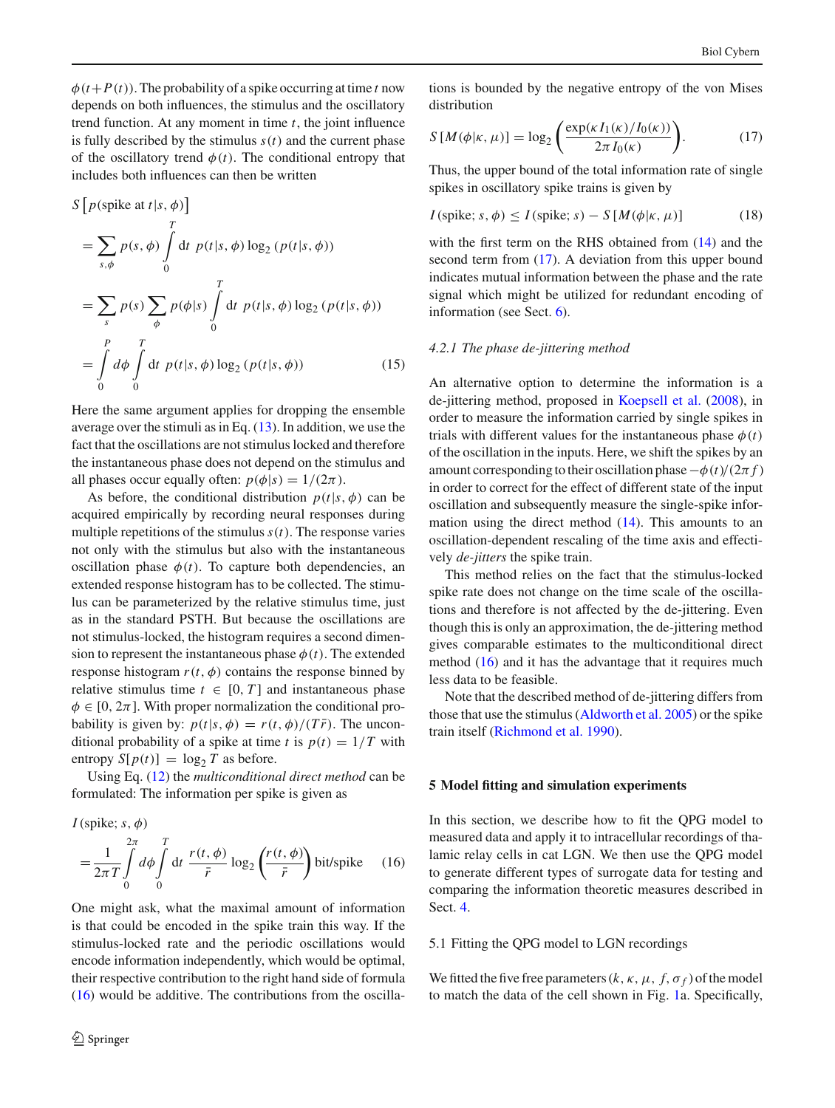$\phi(t+P(t))$ . The probability of a spike occurring at time *t* now depends on both influences, the stimulus and the oscillatory trend function. At any moment in time *t*, the joint influence is fully described by the stimulus  $s(t)$  and the current phase of the oscillatory trend  $\phi(t)$ . The conditional entropy that includes both influences can then be written

$$
S\left[p(\text{spike at }t|s,\phi)\right]
$$
  
=  $\sum_{s,\phi} p(s,\phi) \int_0^T dt \ p(t|s,\phi) \log_2 (p(t|s,\phi))$   
=  $\sum_s p(s) \sum_{\phi} p(\phi|s) \int_0^T dt \ p(t|s,\phi) \log_2 (p(t|s,\phi))$   
=  $\int_0^P d\phi \int_0^T dt \ p(t|s,\phi) \log_2 (p(t|s,\phi))$  (15)

Here the same argument applies for dropping the ensemble average over the stimuli as in Eq.  $(13)$ . In addition, we use the fact that the oscillations are not stimulus locked and therefore the instantaneous phase does not depend on the stimulus and all phases occur equally often:  $p(\phi|s) = 1/(2\pi)$ .

As before, the conditional distribution  $p(t|s, \phi)$  can be acquired empirically by recording neural responses during multiple repetitions of the stimulus  $s(t)$ . The response varies not only with the stimulus but also with the instantaneous oscillation phase  $\phi(t)$ . To capture both dependencies, an extended response histogram has to be collected. The stimulus can be parameterized by the relative stimulus time, just as in the standard PSTH. But because the oscillations are not stimulus-locked, the histogram requires a second dimension to represent the instantaneous phase  $\phi(t)$ . The extended response histogram  $r(t, \phi)$  contains the response binned by relative stimulus time  $t \in [0, T]$  and instantaneous phase  $\phi \in [0, 2\pi]$ . With proper normalization the conditional probability is given by:  $p(t|s, \phi) = r(t, \phi)/(T\bar{r})$ . The unconditional probability of a spike at time *t* is  $p(t) = 1/T$  with entropy  $S[p(t)] = \log_2 T$  as before.

Using Eq. [\(12\)](#page-6-1) the *multiconditional direct method* can be formulated: The information per spike is given as

<span id="page-7-1"></span>
$$
I(\text{spike}; s, \phi)
$$
  
=  $\frac{1}{2\pi T} \int_{0}^{2\pi} d\phi \int_{0}^{T} dt \frac{r(t, \phi)}{\bar{r}} \log_2 \left( \frac{r(t, \phi)}{\bar{r}} \right)$ bit/spike (16)

One might ask, what the maximal amount of information is that could be encoded in the spike train this way. If the stimulus-locked rate and the periodic oscillations would encode information independently, which would be optimal, their respective contribution to the right hand side of formula  $(16)$  would be additive. The contributions from the oscilla-

tions is bounded by the negative entropy of the von Mises distribution

$$
S\left[M(\phi|\kappa,\mu)\right] = \log_2\left(\frac{\exp(\kappa I_1(\kappa)/I_0(\kappa))}{2\pi I_0(\kappa)}\right). \tag{17}
$$

Thus, the upper bound of the total information rate of single spikes in oscillatory spike trains is given by

<span id="page-7-2"></span>
$$
I(\text{spike}; s, \phi) \le I(\text{spike}; s) - S[M(\phi|\kappa, \mu)] \tag{18}
$$

with the first term on the RHS obtained from [\(14\)](#page-6-2) and the second term from  $(17)$ . A deviation from this upper bound indicates mutual information between the phase and the rate signal which might be utilized for redundant encoding of information (see Sect. [6\)](#page-10-0).

#### <span id="page-7-3"></span>*4.2.1 The phase de-jittering method*

An alternative option to determine the information is a de-jittering method, proposed in [Koepsell](#page-13-11) et al. [\(2008](#page-13-11)), in order to measure the information carried by single spikes in trials with different values for the instantaneous phase  $\phi(t)$ of the oscillation in the inputs. Here, we shift the spikes by an amount corresponding to their oscillation phase  $-\phi(t)/(2\pi f)$ in order to correct for the effect of different state of the input oscillation and subsequently measure the single-spike information using the direct method [\(14\)](#page-6-2). This amounts to an oscillation-dependent rescaling of the time axis and effectively *de-jitters* the spike train.

This method relies on the fact that the stimulus-locked spike rate does not change on the time scale of the oscillations and therefore is not affected by the de-jittering. Even though thisis only an approximation, the de-jittering method gives comparable estimates to the multiconditional direct method  $(16)$  and it has the advantage that it requires much less data to be feasible.

Note that the described method of de-jittering differs from those that use the stimulus[\(Aldworth](#page-12-10) et al. [2005](#page-12-10)) or the spike train itself [\(Richmond](#page-13-16) et al. [1990](#page-13-16)).

## <span id="page-7-0"></span>**5 Model fitting and simulation experiments**

In this section, we describe how to fit the QPG model to measured data and apply it to intracellular recordings of thalamic relay cells in cat LGN. We then use the QPG model to generate different types of surrogate data for testing and comparing the information theoretic measures described in Sect. [4.](#page-5-0)

## 5.1 Fitting the QPG model to LGN recordings

We fitted the five free parameters  $(k, \kappa, \mu, f, \sigma_f)$  of the model to match the data of the cell shown in Fig. [1a](#page-3-2). Specifically,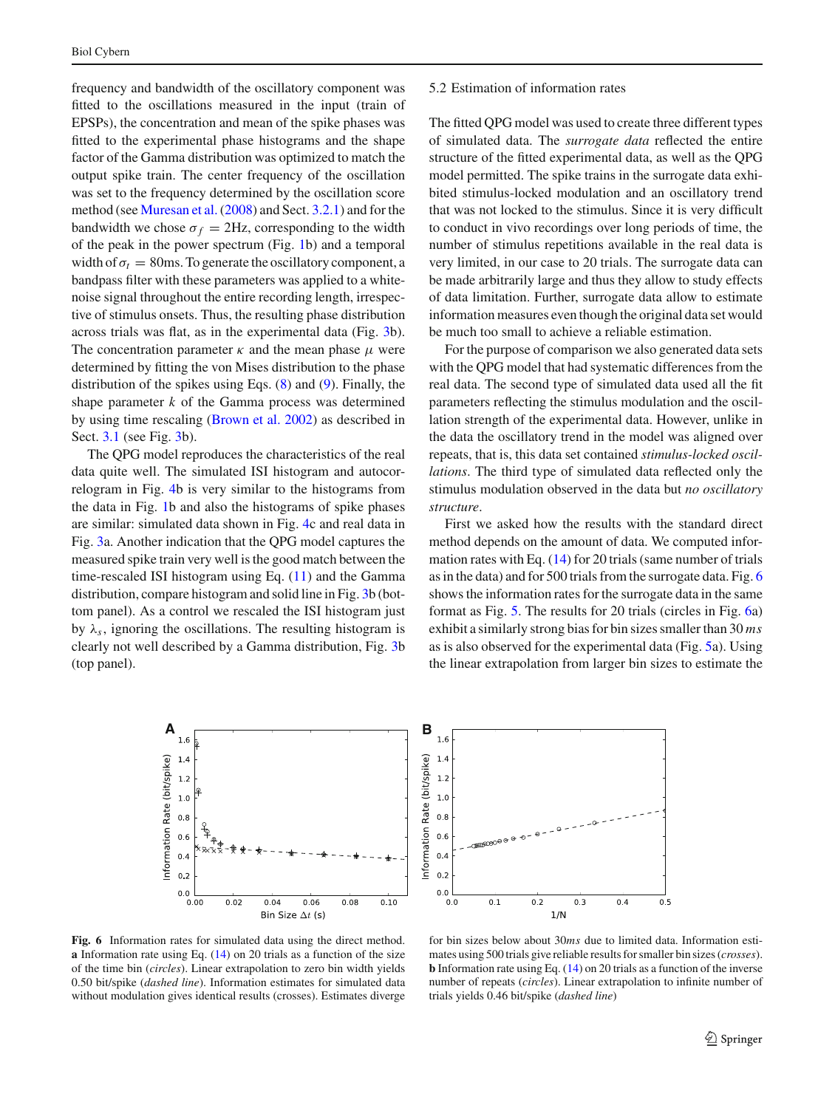frequency and bandwidth of the oscillatory component was fitted to the oscillations measured in the input (train of EPSPs), the concentration and mean of the spike phases was fitted to the experimental phase histograms and the shape factor of the Gamma distribution was optimized to match the output spike train. The center frequency of the oscillation was set to the frequency determined by the oscillation score method (see [Muresan](#page-13-21) et al. [\(2008](#page-13-21)) and Sect. [3.2.1\)](#page-3-1) and for the bandwidth we chose  $\sigma_f = 2Hz$ , corresponding to the width of the peak in the power spectrum (Fig. [1b](#page-3-2)) and a temporal width of  $\sigma_t = 80$ ms. To generate the oscillatory component, a bandpass filter with these parameters was applied to a whitenoise signal throughout the entire recording length, irrespective of stimulus onsets. Thus, the resulting phase distribution across trials was flat, as in the experimental data (Fig. [3b](#page-4-0)). The concentration parameter  $\kappa$  and the mean phase  $\mu$  were determined by fitting the von Mises distribution to the phase distribution of the spikes using Eqs. [\(8\)](#page-4-2) and [\(9\)](#page-4-3). Finally, the shape parameter *k* of the Gamma process was determined by using time rescaling [\(Brown](#page-12-5) et al. [2002](#page-12-5)) as described in Sect. [3.1](#page-2-3) (see Fig. [3b](#page-4-0)).

The QPG model reproduces the characteristics of the real data quite well. The simulated ISI histogram and autocorrelogram in Fig. [4b](#page-5-2) is very similar to the histograms from the data in Fig. [1b](#page-3-2) and also the histograms of spike phases are similar: simulated data shown in Fig. [4c](#page-5-2) and real data in Fig. [3a](#page-4-0). Another indication that the QPG model captures the measured spike train very well isthe good match between the time-rescaled ISI histogram using Eq. [\(11\)](#page-5-1) and the Gamma distribution, compare histogram and solid line in Fig. [3b](#page-4-0) (bottom panel). As a control we rescaled the ISI histogram just by  $\lambda_s$ , ignoring the oscillations. The resulting histogram is clearly not well described by a Gamma distribution, Fig. [3b](#page-4-0) (top panel).

#### 5.2 Estimation of information rates

The fitted QPG model was used to create three different types of simulated data. The *surrogate data* reflected the entire structure of the fitted experimental data, as well as the QPG model permitted. The spike trains in the surrogate data exhibited stimulus-locked modulation and an oscillatory trend that was not locked to the stimulus. Since it is very difficult to conduct in vivo recordings over long periods of time, the number of stimulus repetitions available in the real data is very limited, in our case to 20 trials. The surrogate data can be made arbitrarily large and thus they allow to study effects of data limitation. Further, surrogate data allow to estimate information measures even though the original data set would be much too small to achieve a reliable estimation.

For the purpose of comparison we also generated data sets with the QPG model that had systematic differences from the real data. The second type of simulated data used all the fit parameters reflecting the stimulus modulation and the oscillation strength of the experimental data. However, unlike in the data the oscillatory trend in the model was aligned over repeats, that is, this data set contained *stimulus-locked oscillations*. The third type of simulated data reflected only the stimulus modulation observed in the data but *no oscillatory structure*.

First we asked how the results with the standard direct method depends on the amount of data. We computed information rates with Eq.  $(14)$  for 20 trials (same number of trials as in the data) and for 500 trials from the surrogate data. Fig. 6 shows the information rates for the surrogate data in the same format as Fig. [5.](#page-6-3) The results for 20 trials (circles in Fig. 6a) exhibit a similarly strong bias for bin sizes smaller than 30 ms as is also observed for the experimental data (Fig. [5a](#page-6-3)). Using the linear extrapolation from larger bin sizes to estimate the



<span id="page-8-0"></span>**Fig. 6** Information rates for simulated data using the direct method. **a** Information rate using Eq. [\(14\)](#page-6-2) on 20 trials as a function of the size of the time bin (*circles*). Linear extrapolation to zero bin width yields 0.50 bit/spike (*dashed line*). Information estimates for simulated data without modulation gives identical results (crosses). Estimates diverge

for bin sizes below about 30*ms* due to limited data. Information estimates using 500 trials give reliable resultsforsmaller bin sizes(*crosses*). **b** Information rate using Eq. [\(14\)](#page-6-2) on 20 trials as a function of the inverse number of repeats (*circles*). Linear extrapolation to infinite number of trials yields 0.46 bit/spike (*dashed line*)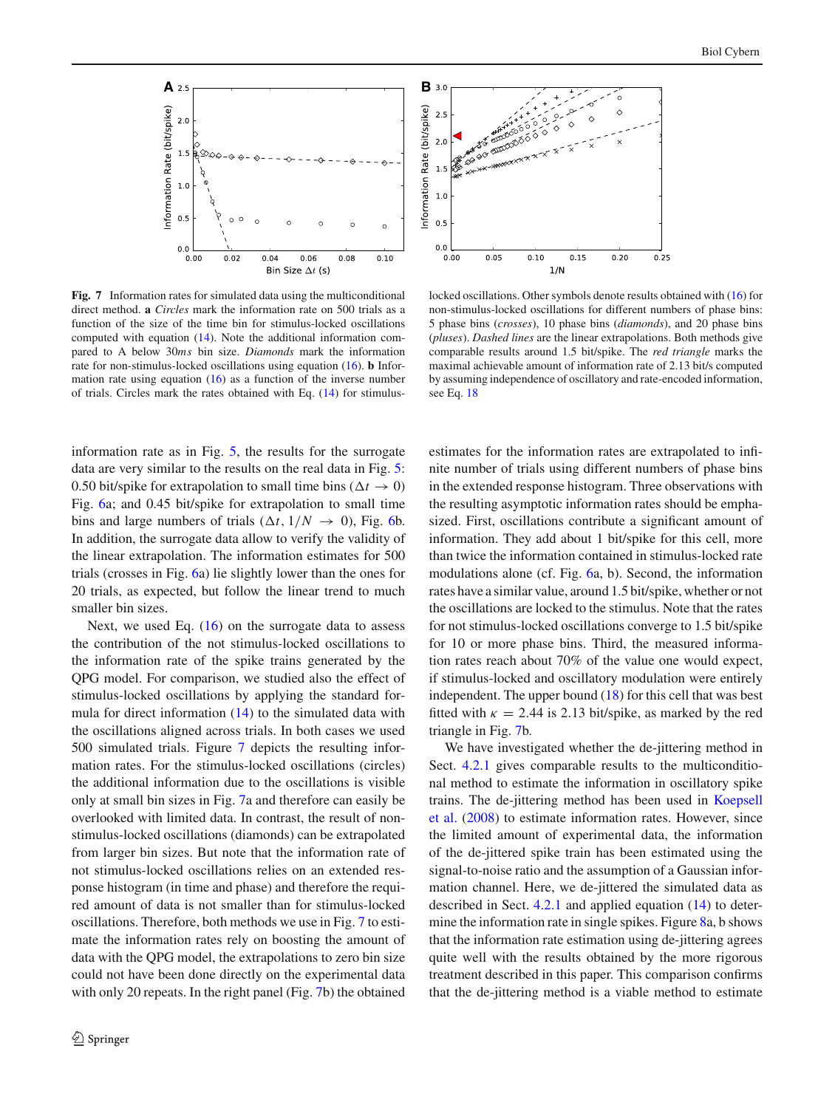

Information Rate (bit/spike)

 $2.5$ 

 $2.c$ 

 $1.5$ 

 $1.0$ 

 $0.5$ 

 $0.0$ 

 $0.00$ 

 $0.05$ 

 $0.10$ 

 $1/N$ 

**Fig. 7** Information rates for simulated data using the multiconditional direct method. **a** *Circles* mark the information rate on 500 trials as a function of the size of the time bin for stimulus-locked oscillations computed with equation [\(14\)](#page-6-2). Note the additional information compared to A below 30*ms* bin size. *Diamonds* mark the information rate for non-stimulus-locked oscillations using equation [\(16\)](#page-7-1). **b** Information rate using equation [\(16\)](#page-7-1) as a function of the inverse number of trials. Circles mark the rates obtained with Eq. [\(14\)](#page-6-2) for stimulus-

locked oscillations. Other symbols denote results obtained with  $(16)$  for non-stimulus-locked oscillations for different numbers of phase bins: 5 phase bins (*crosses*), 10 phase bins (*diamonds*), and 20 phase bins (*pluses*). *Dashed lines* are the linear extrapolations. Both methods give comparable results around 1.5 bit/spike. The *red triangle* marks the maximal achievable amount of information rate of 2.13 bit/s computed by assuming independence of oscillatory and rate-encoded information, see Eq. [18](#page-7-2)

 $0.15$ 

 $\circ$ 

Ò

 $0.20$ 

 $0.25$ 

information rate as in Fig. [5,](#page-6-3) the results for the surrogate data are very similar to the results on the real data in Fig. [5:](#page-6-3) 0.50 bit/spike for extrapolation to small time bins ( $\Delta t \rightarrow 0$ ) Fig. [6a](#page-8-0); and 0.45 bit/spike for extrapolation to small time bins and large numbers of trials ( $\Delta t$ ,  $1/N \rightarrow 0$ ), Fig. [6b](#page-8-0). In addition, the surrogate data allow to verify the validity of the linear extrapolation. The information estimates for 500 trials (crosses in Fig. [6a](#page-8-0)) lie slightly lower than the ones for 20 trials, as expected, but follow the linear trend to much smaller bin sizes.

Next, we used Eq.  $(16)$  on the surrogate data to assess the contribution of the not stimulus-locked oscillations to the information rate of the spike trains generated by the QPG model. For comparison, we studied also the effect of stimulus-locked oscillations by applying the standard formula for direct information  $(14)$  to the simulated data with the oscillations aligned across trials. In both cases we used 500 simulated trials. Figure 7 depicts the resulting information rates. For the stimulus-locked oscillations (circles) the additional information due to the oscillations is visible only at small bin sizes in Fig. 7a and therefore can easily be overlooked with limited data. In contrast, the result of nonstimulus-locked oscillations (diamonds) can be extrapolated from larger bin sizes. But note that the information rate of not stimulus-locked oscillations relies on an extended response histogram (in time and phase) and therefore the required amount of data is not smaller than for stimulus-locked oscillations. Therefore, both methods we use in Fig. 7 to estimate the information rates rely on boosting the amount of data with the QPG model, the extrapolations to zero bin size could not have been done directly on the experimental data with only 20 repeats. In the right panel (Fig. 7b) the obtained estimates for the information rates are extrapolated to infinite number of trials using different numbers of phase bins in the extended response histogram. Three observations with the resulting asymptotic information rates should be emphasized. First, oscillations contribute a significant amount of information. They add about 1 bit/spike for this cell, more than twice the information contained in stimulus-locked rate modulations alone (cf. Fig. [6a](#page-8-0), b). Second, the information rates have a similar value, around 1.5 bit/spike, whether or not the oscillations are locked to the stimulus. Note that the rates for not stimulus-locked oscillations converge to 1.5 bit/spike for 10 or more phase bins. Third, the measured information rates reach about 70% of the value one would expect, if stimulus-locked and oscillatory modulation were entirely independent. The upper bound  $(18)$  for this cell that was best fitted with  $\kappa = 2.44$  is 2.13 bit/spike, as marked by the red triangle in Fig. 7b.

We have investigated whether the de-jittering method in Sect. [4.2.1](#page-7-3) gives comparable results to the multiconditional method to estimate the information in oscillatory spike trains. The [de-jittering](#page-13-11) method has been used in Koepsell et al. [\(2008\)](#page-13-11) to estimate information rates. However, since the limited amount of experimental data, the information of the de-jittered spike train has been estimated using the signal-to-noise ratio and the assumption of a Gaussian information channel. Here, we de-jittered the simulated data as described in Sect. [4.2.1](#page-7-3) and applied equation [\(14\)](#page-6-2) to deter-mine the information rate in single spikes. Figure [8a](#page-10-1), b shows that the information rate estimation using de-jittering agrees quite well with the results obtained by the more rigorous treatment described in this paper. This comparison confirms that the de-jittering method is a viable method to estimate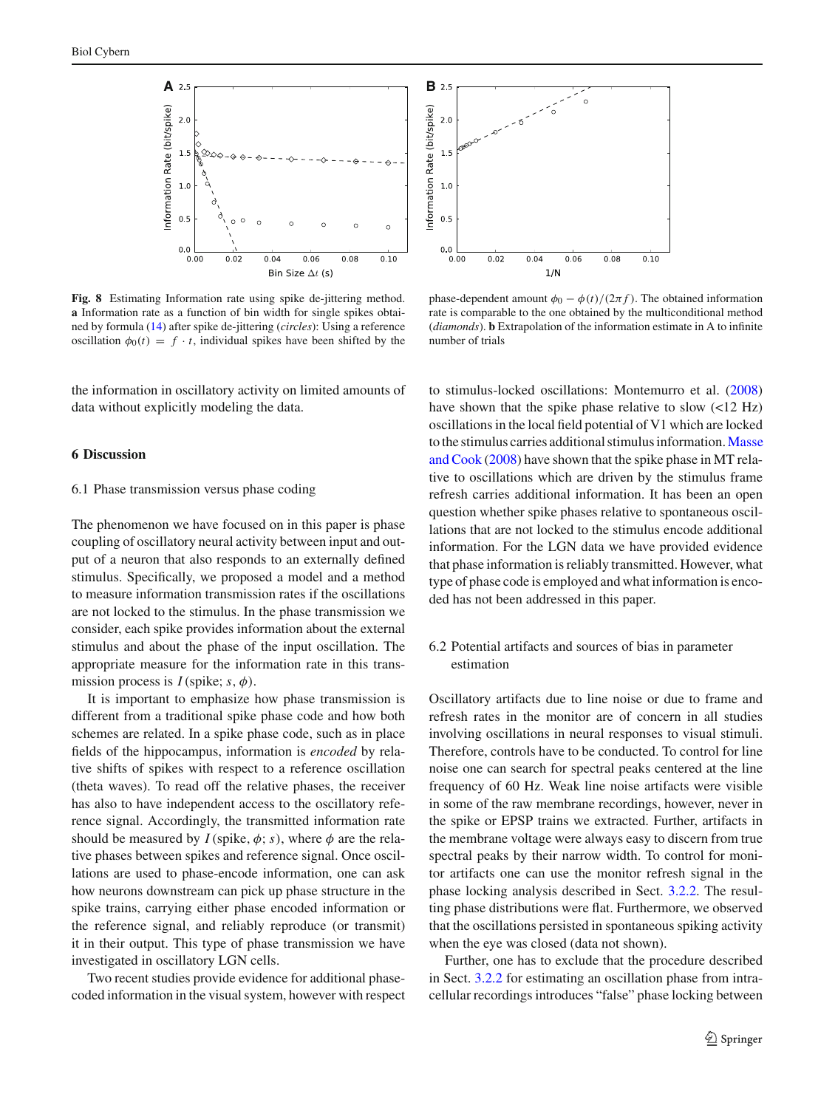

<span id="page-10-1"></span>**Fig. 8** Estimating Information rate using spike de-jittering method. **a** Information rate as a function of bin width for single spikes obtained by formula [\(14\)](#page-6-2) after spike de-jittering (*circles*): Using a reference oscillation  $\phi_0(t) = f \cdot t$ , individual spikes have been shifted by the

the information in oscillatory activity on limited amounts of data without explicitly modeling the data.

## <span id="page-10-0"></span>**6 Discussion**

#### 6.1 Phase transmission versus phase coding

The phenomenon we have focused on in this paper is phase coupling of oscillatory neural activity between input and output of a neuron that also responds to an externally defined stimulus. Specifically, we proposed a model and a method to measure information transmission rates if the oscillations are not locked to the stimulus. In the phase transmission we consider, each spike provides information about the external stimulus and about the phase of the input oscillation. The appropriate measure for the information rate in this transmission process is  $I$ (spike;  $s, \phi$ ).

It is important to emphasize how phase transmission is different from a traditional spike phase code and how both schemes are related. In a spike phase code, such as in place fields of the hippocampus, information is *encoded* by relative shifts of spikes with respect to a reference oscillation (theta waves). To read off the relative phases, the receiver has also to have independent access to the oscillatory reference signal. Accordingly, the transmitted information rate should be measured by  $I$ (spike,  $\phi$ ; s), where  $\phi$  are the relative phases between spikes and reference signal. Once oscillations are used to phase-encode information, one can ask how neurons downstream can pick up phase structure in the spike trains, carrying either phase encoded information or the reference signal, and reliably reproduce (or transmit) it in their output. This type of phase transmission we have investigated in oscillatory LGN cells.

Two recent studies provide evidence for additional phasecoded information in the visual system, however with respect

nformation Rate (bit/spike)  $20$  $1.5$  $1<sub>c</sub>$  $0.5$  $0.0$  $0.00$  $0.07$  $0.04$  $0.06$  $0.08$  $0.10$  $1/N$ 

phase-dependent amount  $\phi_0 - \phi(t)/(2\pi f)$ . The obtained information rate is comparable to the one obtained by the multiconditional method (*diamonds*). **b** Extrapolation of the information estimate in A to infinite number of trials

to stimulus-locked oscillations: Montemurro et al. [\(2008\)](#page-13-8) have shown that the spike phase relative to slow  $\left($ <12 Hz) oscillations in the local field potential of V1 which are locked to the stimulus carries additional stimulus information. Masse and Cook [\(2008\)](#page-13-23) have shown that the spike phase in MT relative to oscillations which are driven by the stimulus frame refresh carries additional information. It has been an open question whether spike phases relative to spontaneous oscillations that are not locked to the stimulus encode additional information. For the LGN data we have provided evidence that phase information isreliably transmitted. However, what type of phase code is employed and what information is encoded has not been addressed in this paper.

# 6.2 Potential artifacts and sources of bias in parameter estimation

Oscillatory artifacts due to line noise or due to frame and refresh rates in the monitor are of concern in all studies involving oscillations in neural responses to visual stimuli. Therefore, controls have to be conducted. To control for line noise one can search for spectral peaks centered at the line frequency of 60 Hz. Weak line noise artifacts were visible in some of the raw membrane recordings, however, never in the spike or EPSP trains we extracted. Further, artifacts in the membrane voltage were always easy to discern from true spectral peaks by their narrow width. To control for monitor artifacts one can use the monitor refresh signal in the phase locking analysis described in Sect. [3.2.2.](#page-4-1) The resulting phase distributions were flat. Furthermore, we observed that the oscillations persisted in spontaneous spiking activity when the eye was closed (data not shown).

Further, one has to exclude that the procedure described in Sect. [3.2.2](#page-4-1) for estimating an oscillation phase from intracellular recordingsintroduces "false" phase locking between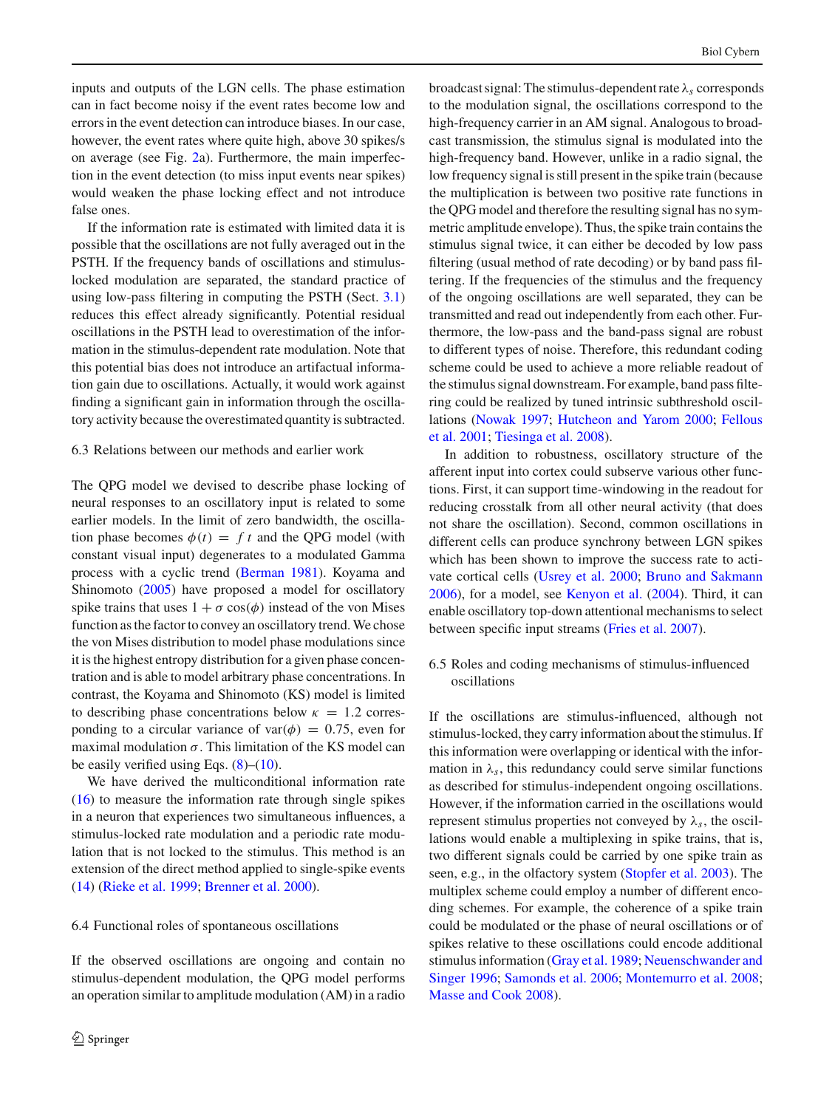inputs and outputs of the LGN cells. The phase estimation can in fact become noisy if the event rates become low and errors in the event detection can introduce biases. In our case, however, the event rates where quite high, above 30 spikes/s on average (see Fig. [2a](#page-3-0)). Furthermore, the main imperfection in the event detection (to miss input events near spikes) would weaken the phase locking effect and not introduce false ones.

If the information rate is estimated with limited data it is possible that the oscillations are not fully averaged out in the PSTH. If the frequency bands of oscillations and stimuluslocked modulation are separated, the standard practice of using low-pass filtering in computing the PSTH (Sect. [3.1\)](#page-2-3) reduces this effect already significantly. Potential residual oscillations in the PSTH lead to overestimation of the information in the stimulus-dependent rate modulation. Note that this potential bias does not introduce an artifactual information gain due to oscillations. Actually, it would work against finding a significant gain in information through the oscillatory activity because the overestimated quantity is subtracted.

## 6.3 Relations between our methods and earlier work

The QPG model we devised to describe phase locking of neural responses to an oscillatory input is related to some earlier models. In the limit of zero bandwidth, the oscillation phase becomes  $\phi(t) = f t$  and the QPG model (with constant visual input) degenerates to a modulated Gamma process with a cyclic trend [\(Berman](#page-12-11) [1981](#page-12-11)). Koyama and Shinomoto [\(2005](#page-13-24)) have proposed a model for oscillatory spike trains that uses  $1 + \sigma \cos(\phi)$  instead of the von Mises function as the factor to convey an oscillatory trend. We chose the von Mises distribution to model phase modulations since it isthe highest entropy distribution for a given phase concentration and is able to model arbitrary phase concentrations. In contrast, the Koyama and Shinomoto (KS) model is limited to describing phase concentrations below  $\kappa = 1.2$  corresponding to a circular variance of  $var(\phi) = 0.75$ , even for maximal modulation  $\sigma$ . This limitation of the KS model can be easily verified using Eqs.  $(8)$ – $(10)$ .

We have derived the multiconditional information rate [\(16\)](#page-7-1) to measure the information rate through single spikes in a neuron that experiences two simultaneous influences, a stimulus-locked rate modulation and a periodic rate modulation that is not locked to the stimulus. This method is an extension of the direct method applied to single-spike events [\(14\)](#page-6-2) [\(Rieke](#page-13-22) et al. [1999;](#page-13-22) [Brenner](#page-12-9) et al. [2000](#page-12-9)).

#### 6.4 Functional roles of spontaneous oscillations

If the observed oscillations are ongoing and contain no stimulus-dependent modulation, the QPG model performs an operation similar to amplitude modulation (AM) in a radio broadcastsignal:The stimulus-dependentrate λ*<sup>s</sup>* corresponds to the modulation signal, the oscillations correspond to the high-frequency carrier in an AM signal. Analogous to broadcast transmission, the stimulus signal is modulated into the high-frequency band. However, unlike in a radio signal, the low frequency signal isstill present in the spike train (because the multiplication is between two positive rate functions in the QPG model and therefore the resulting signal has no symmetric amplitude envelope). Thus, the spike train containsthe stimulus signal twice, it can either be decoded by low pass filtering (usual method of rate decoding) or by band pass filtering. If the frequencies of the stimulus and the frequency of the ongoing oscillations are well separated, they can be transmitted and read out independently from each other. Furthermore, the low-pass and the band-pass signal are robust to different types of noise. Therefore, this redundant coding scheme could be used to achieve a more reliable readout of the stimulus signal downstream. For example, band pass filtering could be realized by tuned intrinsic subthreshold oscillations [\(Nowak](#page-13-25) [1997;](#page-13-25) [Hutcheon](#page-13-26) and Yarom [2000;](#page-13-26) Fellous et al. [2001;](#page-12-12) [Tiesinga](#page-13-27) et al. [2008](#page-13-27)).

In addition to robustness, oscillatory structure of the afferent input into cortex could subserve various other functions. First, it can support time-windowing in the readout for reducing crosstalk from all other neural activity (that does not share the oscillation). Second, common oscillations in different cells can produce synchrony between LGN spikes which has been shown to improve the success rate to activate cortical cells [\(Usrey](#page-13-28) et al. [2000;](#page-13-28) Bruno and [Sakmann](#page-12-13) [2006](#page-12-13)), for a model, see [Kenyon](#page-13-29) et al. [\(2004\)](#page-13-29). Third, it can enable oscillatory top-down attentional mechanisms to select between specific input streams [\(Fries](#page-12-14) et al. [2007](#page-12-14)).

# 6.5 Roles and coding mechanisms of stimulus-influenced oscillations

If the oscillations are stimulus-influenced, although not stimulus-locked, they carry information about the stimulus.If thisinformation were overlapping or identical with the information in  $\lambda_s$ , this redundancy could serve similar functions as described for stimulus-independent ongoing oscillations. However, if the information carried in the oscillations would represent stimulus properties not conveyed by  $\lambda_s$ , the oscillations would enable a multiplexing in spike trains, that is, two different signals could be carried by one spike train as seen, e.g., in the olfactory system [\(Stopfer](#page-13-30) et al. [2003](#page-13-30)). The multiplex scheme could employ a number of different encoding schemes. For example, the coherence of a spike train could be modulated or the phase of neural oscillations or of spikes relative to these oscillations could encode additional stimulus information [\(Gray](#page-13-31) et al. [1989](#page-13-31); Neuenschwander and Singer [1996;](#page-13-6) [Samonds](#page-13-32) et al. [2006](#page-13-32); [Montemurro](#page-13-8) et al. [2008](#page-13-8); [Masse](#page-13-23) and Cook [2008\)](#page-13-23).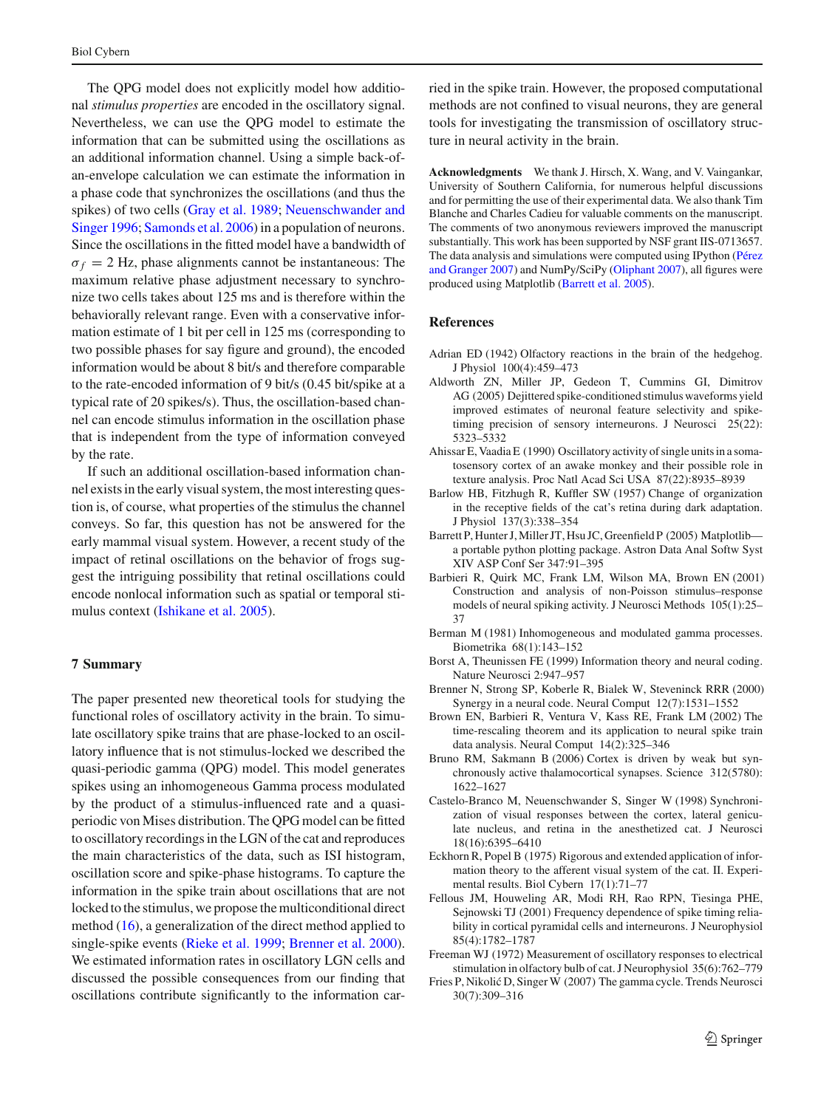The QPG model does not explicitly model how additional *stimulus properties* are encoded in the oscillatory signal. Nevertheless, we can use the QPG model to estimate the information that can be submitted using the oscillations as an additional information channel. Using a simple back-ofan-envelope calculation we can estimate the information in a phase code that synchronizes the oscillations (and thus the spikes) of two cells [\(Gray](#page-13-31) et al. [1989](#page-13-31); Neuenschwander and Singer [1996;](#page-13-6) [Samonds](#page-13-32) et al. [2006\)](#page-13-32) in a population of neurons. Since the oscillations in the fitted model have a bandwidth of  $\sigma_f = 2$  Hz, phase alignments cannot be instantaneous: The maximum relative phase adjustment necessary to synchronize two cells takes about 125 ms and is therefore within the behaviorally relevant range. Even with a conservative information estimate of 1 bit per cell in 125 ms (corresponding to two possible phases for say figure and ground), the encoded information would be about 8 bit/s and therefore comparable to the rate-encoded information of 9 bit/s (0.45 bit/spike at a typical rate of 20 spikes/s). Thus, the oscillation-based channel can encode stimulus information in the oscillation phase that is independent from the type of information conveyed by the rate.

If such an additional oscillation-based information channel exists in the early visual system, the most interesting question is, of course, what properties of the stimulus the channel conveys. So far, this question has not be answered for the early mammal visual system. However, a recent study of the impact of retinal oscillations on the behavior of frogs suggest the intriguing possibility that retinal oscillations could encode nonlocal information such as spatial or temporal stimulus context [\(Ishikane](#page-13-7) et al. [2005\)](#page-13-7).

## **7 Summary**

The paper presented new theoretical tools for studying the functional roles of oscillatory activity in the brain. To simulate oscillatory spike trains that are phase-locked to an oscillatory influence that is not stimulus-locked we described the quasi-periodic gamma (QPG) model. This model generates spikes using an inhomogeneous Gamma process modulated by the product of a stimulus-influenced rate and a quasiperiodic von Mises distribution. The QPG model can be fitted to oscillatory recordings in the LGN of the cat and reproduces the main characteristics of the data, such as ISI histogram, oscillation score and spike-phase histograms. To capture the information in the spike train about oscillations that are not locked to the stimulus, we propose the multiconditional direct method [\(16\)](#page-7-1), a generalization of the direct method applied to single-spike events [\(Rieke](#page-13-22) et al. [1999;](#page-13-22) Brenner et al. 2000). We estimated information rates in oscillatory LGN cells and discussed the possible consequences from our finding that oscillations contribute significantly to the information carried in the spike train. However, the proposed computational methods are not confined to visual neurons, they are general tools for investigating the transmission of oscillatory structure in neural activity in the brain.

**Acknowledgments** We thank J. Hirsch, X. Wang, and V. Vaingankar, University of Southern California, for numerous helpful discussions and for permitting the use of their experimental data. We also thank Tim Blanche and Charles Cadieu for valuable comments on the manuscript. The comments of two anonymous reviewers improved the manuscript substantially. This work has been supported by NSF grant IIS-0713657. The data analysis and [simulations](#page-13-33) were computed using IPython (Pérez and Granger [2007\)](#page-13-33) and NumPy/SciPy [\(Oliphant](#page-13-34) [2007](#page-13-34)), all figures were produced using Matplotlib (Barrett et al. 2005).

#### **References**

- <span id="page-12-0"></span>Adrian ED (1942) Olfactory reactions in the brain of the hedgehog. J Physiol 100(4):459–473
- <span id="page-12-10"></span>Aldworth ZN, Miller JP, Gedeon T, Cummins GI, Dimitrov AG (2005) Dejittered spike-conditioned stimulus waveforms yield improved estimates of neuronal feature selectivity and spiketiming precision of sensory interneurons. J Neurosci 25(22): 5323–5332
- <span id="page-12-2"></span>Ahissar E, Vaadia E (1990) Oscillatory activity of single units in a somatosensory cortex of an awake monkey and their possible role in texture analysis. Proc Natl Acad Sci USA 87(22):8935–8939
- <span id="page-12-6"></span>Barlow HB, Fitzhugh R, Kuffler SW (1957) Change of organization in the receptive fields of the cat's retina during dark adaptation. J Physiol 137(3):338–354
- Barrett P, Hunter J, Miller JT, Hsu JC, Greenfield P (2005) Matplotlib a portable python plotting package. Astron Data Anal Softw Syst XIV ASP Conf Ser 347:91–395
- <span id="page-12-4"></span>Barbieri R, Quirk MC, Frank LM, Wilson MA, Brown EN (2001) Construction and analysis of non-Poisson stimulus–response models of neural spiking activity. J Neurosci Methods 105(1):25– 37
- <span id="page-12-11"></span>Berman M (1981) Inhomogeneous and modulated gamma processes. Biometrika 68(1):143–152
- <span id="page-12-8"></span>Borst A, Theunissen FE (1999) Information theory and neural coding. Nature Neurosci 2:947–957
- <span id="page-12-9"></span>Brenner N, Strong SP, Koberle R, Bialek W, Steveninck RRR (2000) Synergy in a neural code. Neural Comput 12(7):1531–1552
- <span id="page-12-5"></span>Brown EN, Barbieri R, Ventura V, Kass RE, Frank LM (2002) The time-rescaling theorem and its application to neural spike train data analysis. Neural Comput 14(2):325–346
- <span id="page-12-13"></span>Bruno RM, Sakmann B (2006) Cortex is driven by weak but synchronously active thalamocortical synapses. Science 312(5780): 1622–1627
- <span id="page-12-3"></span>Castelo-Branco M, Neuenschwander S, Singer W (1998) Synchronization of visual responses between the cortex, lateral geniculate nucleus, and retina in the anesthetized cat. J Neurosci 18(16):6395–6410
- <span id="page-12-7"></span>Eckhorn R, Popel B (1975) Rigorous and extended application of information theory to the afferent visual system of the cat. II. Experimental results. Biol Cybern 17(1):71–77
- <span id="page-12-12"></span>Fellous JM, Houweling AR, Modi RH, Rao RPN, Tiesinga PHE, Sejnowski TJ (2001) Frequency dependence of spike timing reliability in cortical pyramidal cells and interneurons. J Neurophysiol 85(4):1782–1787
- <span id="page-12-1"></span>Freeman WJ (1972) Measurement of oscillatory responses to electrical stimulation in olfactory bulb of cat.J Neurophysiol 35(6):762–779
- <span id="page-12-14"></span>Fries P, Nikolić D, Singer W (2007) The gamma cycle. Trends Neurosci 30(7):309–316